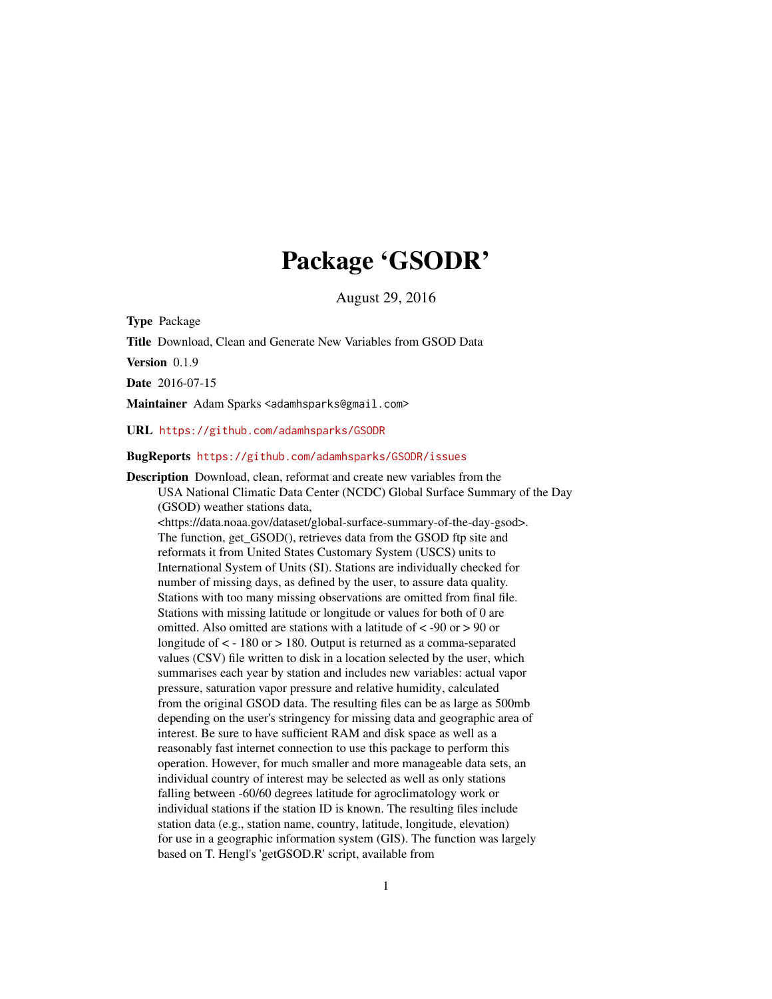# Package 'GSODR'

August 29, 2016

Type Package

Title Download, Clean and Generate New Variables from GSOD Data

Version 0.1.9

Date 2016-07-15

Maintainer Adam Sparks <adamhsparks@gmail.com>

URL <https://github.com/adamhsparks/GSODR>

#### BugReports <https://github.com/adamhsparks/GSODR/issues>

Description Download, clean, reformat and create new variables from the USA National Climatic Data Center (NCDC) Global Surface Summary of the Day (GSOD) weather stations data, <https://data.noaa.gov/dataset/global-surface-summary-of-the-day-gsod>. The function, get\_GSOD(), retrieves data from the GSOD ftp site and reformats it from United States Customary System (USCS) units to International System of Units (SI). Stations are individually checked for number of missing days, as defined by the user, to assure data quality. Stations with too many missing observations are omitted from final file. Stations with missing latitude or longitude or values for both of 0 are omitted. Also omitted are stations with a latitude of  $\lt$  -90 or  $>$  90 or longitude of  $\langle$  - 180 or  $> 180$ . Output is returned as a comma-separated values (CSV) file written to disk in a location selected by the user, which summarises each year by station and includes new variables: actual vapor pressure, saturation vapor pressure and relative humidity, calculated from the original GSOD data. The resulting files can be as large as 500mb depending on the user's stringency for missing data and geographic area of interest. Be sure to have sufficient RAM and disk space as well as a reasonably fast internet connection to use this package to perform this operation. However, for much smaller and more manageable data sets, an individual country of interest may be selected as well as only stations falling between -60/60 degrees latitude for agroclimatology work or individual stations if the station ID is known. The resulting files include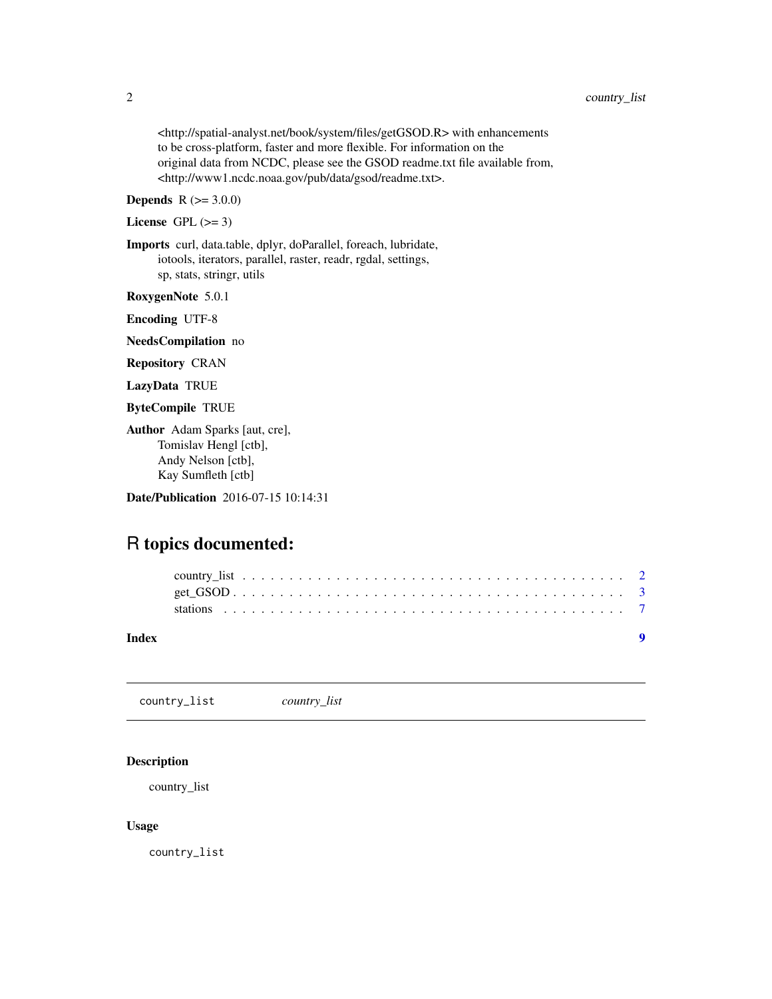<span id="page-1-0"></span><http://spatial-analyst.net/book/system/files/getGSOD.R> with enhancements to be cross-platform, faster and more flexible. For information on the original data from NCDC, please see the GSOD readme.txt file available from, <http://www1.ncdc.noaa.gov/pub/data/gsod/readme.txt>.

### **Depends**  $R$  ( $>= 3.0.0$ )

License GPL  $(>= 3)$ 

Imports curl, data.table, dplyr, doParallel, foreach, lubridate, iotools, iterators, parallel, raster, readr, rgdal, settings, sp, stats, stringr, utils

RoxygenNote 5.0.1

Encoding UTF-8

NeedsCompilation no

Repository CRAN

LazyData TRUE

ByteCompile TRUE

Author Adam Sparks [aut, cre], Tomislav Hengl [ctb], Andy Nelson [ctb], Kay Sumfleth [ctb]

Date/Publication 2016-07-15 10:14:31

## R topics documented:

| Index |  |  |  |  |  |  |  |  |  |  |  |  |  |  |  |  |  |  |  |
|-------|--|--|--|--|--|--|--|--|--|--|--|--|--|--|--|--|--|--|--|
|       |  |  |  |  |  |  |  |  |  |  |  |  |  |  |  |  |  |  |  |
|       |  |  |  |  |  |  |  |  |  |  |  |  |  |  |  |  |  |  |  |
|       |  |  |  |  |  |  |  |  |  |  |  |  |  |  |  |  |  |  |  |

<span id="page-1-1"></span>country\_list *country\_list*

#### Description

country\_list

#### Usage

country\_list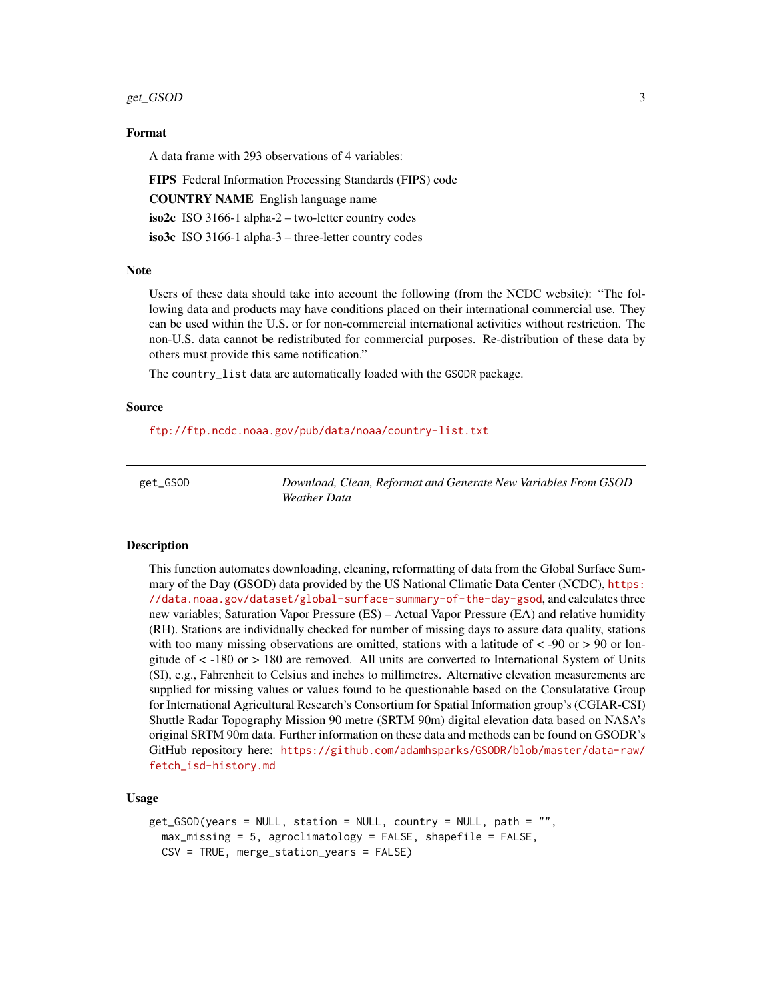#### <span id="page-2-0"></span>get\_GSOD 3

#### Format

A data frame with 293 observations of 4 variables:

FIPS Federal Information Processing Standards (FIPS) code COUNTRY NAME English language name iso2c ISO 3166-1 alpha-2 – two-letter country codes

iso3c ISO 3166-1 alpha-3 – three-letter country codes

#### **Note**

Users of these data should take into account the following (from the NCDC website): "The following data and products may have conditions placed on their international commercial use. They can be used within the U.S. or for non-commercial international activities without restriction. The non-U.S. data cannot be redistributed for commercial purposes. Re-distribution of these data by others must provide this same notification."

The country\_list data are automatically loaded with the GSODR package.

#### Source

<ftp://ftp.ncdc.noaa.gov/pub/data/noaa/country-list.txt>

| get_GSOD | Download, Clean, Reformat and Generate New Variables From GSOD |
|----------|----------------------------------------------------------------|
|          | Weather Data                                                   |

#### **Description**

This function automates downloading, cleaning, reformatting of data from the Global Surface Summary of the Day (GSOD) data provided by the US National Climatic Data Center (NCDC), [https:](https://data.noaa.gov/dataset/global-surface-summary-of-the-day-gsod) [//data.noaa.gov/dataset/global-surface-summary-of-the-day-gsod](https://data.noaa.gov/dataset/global-surface-summary-of-the-day-gsod), and calculates three new variables; Saturation Vapor Pressure (ES) – Actual Vapor Pressure (EA) and relative humidity (RH). Stations are individually checked for number of missing days to assure data quality, stations with too many missing observations are omitted, stations with a latitude of  $\lt$  -90 or  $>$  90 or longitude of < -180 or > 180 are removed. All units are converted to International System of Units (SI), e.g., Fahrenheit to Celsius and inches to millimetres. Alternative elevation measurements are supplied for missing values or values found to be questionable based on the Consulatative Group for International Agricultural Research's Consortium for Spatial Information group's (CGIAR-CSI) Shuttle Radar Topography Mission 90 metre (SRTM 90m) digital elevation data based on NASA's original SRTM 90m data. Further information on these data and methods can be found on GSODR's GitHub repository here: [https://github.com/adamhsparks/GSODR/blob/master/data-raw/](https://github.com/adamhsparks/GSODR/blob/master/data-raw/fetch_isd-history.md) [fetch\\_isd-history.md](https://github.com/adamhsparks/GSODR/blob/master/data-raw/fetch_isd-history.md)

#### Usage

```
get_GSOD(years = NULL, station = NULL, country = NULL, path = "",max_missing = 5, agroclimatology = FALSE, shapefile = FALSE,
 CSV = TRUE, merge_station_years = FALSE)
```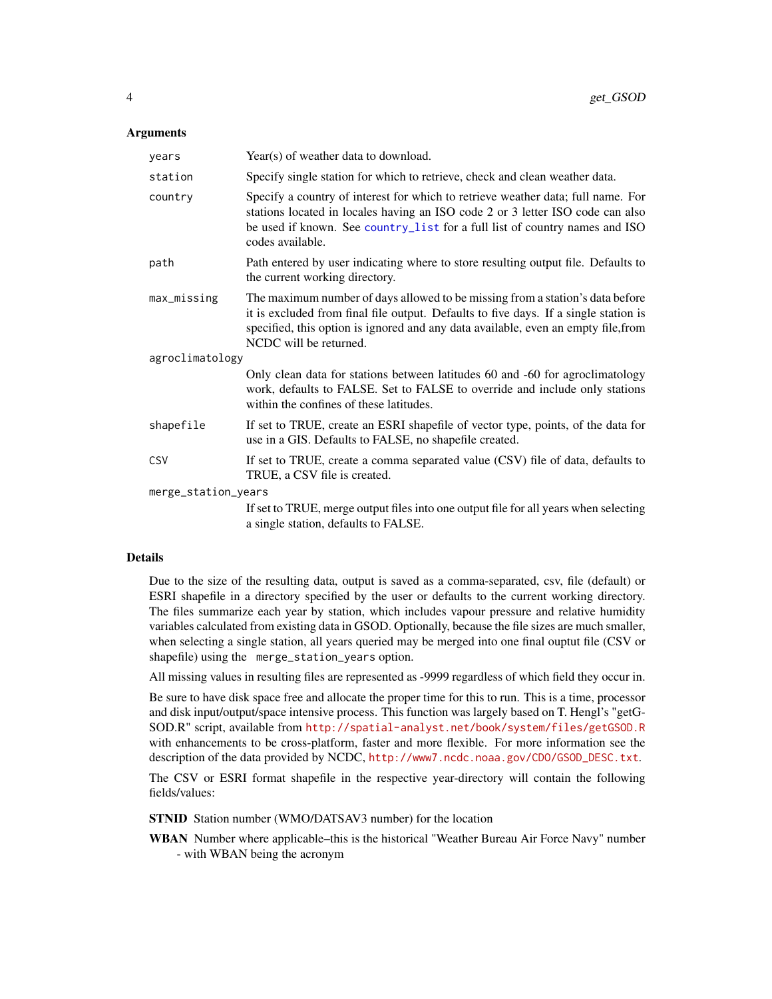#### <span id="page-3-0"></span>**Arguments**

| years               | Year(s) of weather data to download.                                                                                                                                                                                                                                                  |  |  |  |  |  |  |
|---------------------|---------------------------------------------------------------------------------------------------------------------------------------------------------------------------------------------------------------------------------------------------------------------------------------|--|--|--|--|--|--|
| station             | Specify single station for which to retrieve, check and clean weather data.                                                                                                                                                                                                           |  |  |  |  |  |  |
| country             | Specify a country of interest for which to retrieve weather data; full name. For<br>stations located in locales having an ISO code 2 or 3 letter ISO code can also<br>be used if known. See country_list for a full list of country names and ISO<br>codes available.                 |  |  |  |  |  |  |
| path                | Path entered by user indicating where to store resulting output file. Defaults to<br>the current working directory.                                                                                                                                                                   |  |  |  |  |  |  |
| max_missing         | The maximum number of days allowed to be missing from a station's data before<br>it is excluded from final file output. Defaults to five days. If a single station is<br>specified, this option is ignored and any data available, even an empty file, from<br>NCDC will be returned. |  |  |  |  |  |  |
| agroclimatology     |                                                                                                                                                                                                                                                                                       |  |  |  |  |  |  |
|                     | Only clean data for stations between latitudes 60 and -60 for agroclimatology<br>work, defaults to FALSE. Set to FALSE to override and include only stations<br>within the confines of these latitudes.                                                                               |  |  |  |  |  |  |
| shapefile           | If set to TRUE, create an ESRI shapefile of vector type, points, of the data for<br>use in a GIS. Defaults to FALSE, no shapefile created.                                                                                                                                            |  |  |  |  |  |  |
| CSV                 | If set to TRUE, create a comma separated value (CSV) file of data, defaults to<br>TRUE, a CSV file is created.                                                                                                                                                                        |  |  |  |  |  |  |
| merge_station_years |                                                                                                                                                                                                                                                                                       |  |  |  |  |  |  |
|                     | If set to TRUE, merge output files into one output file for all years when selecting<br>a single station, defaults to FALSE.                                                                                                                                                          |  |  |  |  |  |  |

#### Details

Due to the size of the resulting data, output is saved as a comma-separated, csv, file (default) or ESRI shapefile in a directory specified by the user or defaults to the current working directory. The files summarize each year by station, which includes vapour pressure and relative humidity variables calculated from existing data in GSOD. Optionally, because the file sizes are much smaller, when selecting a single station, all years queried may be merged into one final ouptut file (CSV or shapefile) using the merge\_station\_years option.

All missing values in resulting files are represented as -9999 regardless of which field they occur in.

Be sure to have disk space free and allocate the proper time for this to run. This is a time, processor and disk input/output/space intensive process. This function was largely based on T. Hengl's "getG-SOD.R" script, available from <http://spatial-analyst.net/book/system/files/getGSOD.R> with enhancements to be cross-platform, faster and more flexible. For more information see the description of the data provided by NCDC, [http://www7.ncdc.noaa.gov/CDO/GSOD\\_DESC.txt](http://www7.ncdc.noaa.gov/CDO/GSOD_DESC.txt).

The CSV or ESRI format shapefile in the respective year-directory will contain the following fields/values:

STNID Station number (WMO/DATSAV3 number) for the location

WBAN Number where applicable–this is the historical "Weather Bureau Air Force Navy" number - with WBAN being the acronym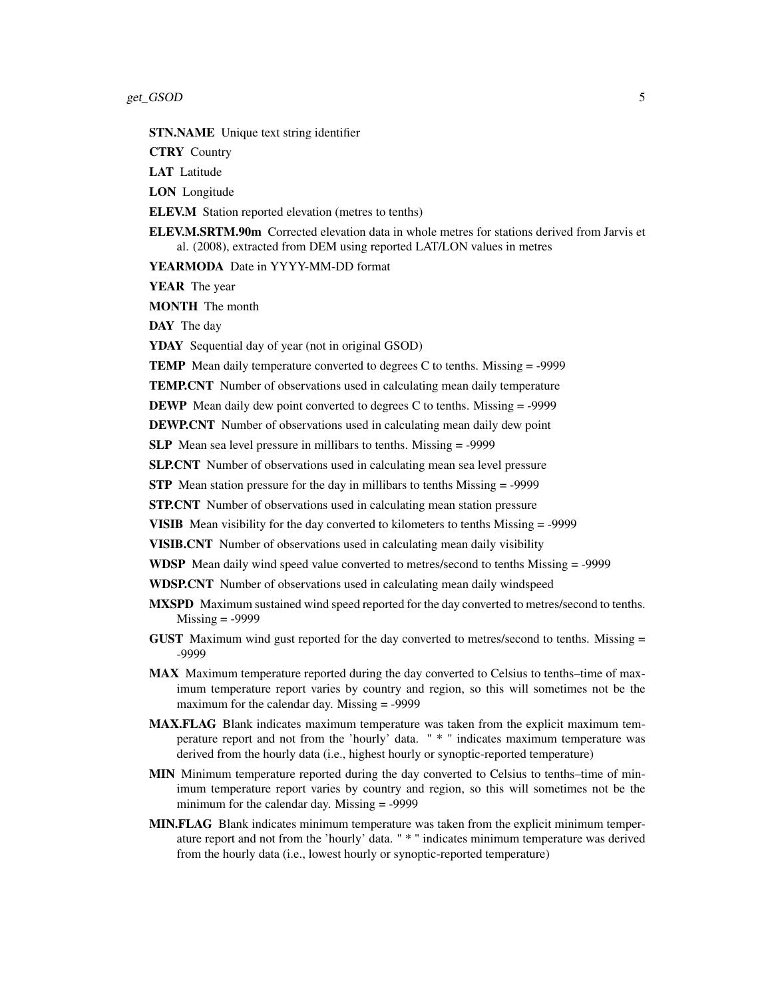STN.NAME Unique text string identifier

CTRY Country

LAT Latitude

LON Longitude

ELEV.M Station reported elevation (metres to tenths)

ELEV.M.SRTM.90m Corrected elevation data in whole metres for stations derived from Jarvis et al. (2008), extracted from DEM using reported LAT/LON values in metres

YEARMODA Date in YYYY-MM-DD format

YEAR The year

MONTH The month

DAY The day

YDAY Sequential day of year (not in original GSOD)

**TEMP** Mean daily temperature converted to degrees C to tenths. Missing  $=$  -9999

TEMP.CNT Number of observations used in calculating mean daily temperature

DEWP Mean daily dew point converted to degrees C to tenths. Missing = -9999

DEWP.CNT Number of observations used in calculating mean daily dew point

SLP Mean sea level pressure in millibars to tenths. Missing = -9999

SLP.CNT Number of observations used in calculating mean sea level pressure

STP Mean station pressure for the day in millibars to tenths Missing = -9999

STP.CNT Number of observations used in calculating mean station pressure

VISIB Mean visibility for the day converted to kilometers to tenths Missing = -9999

VISIB.CNT Number of observations used in calculating mean daily visibility

WDSP Mean daily wind speed value converted to metres/second to tenths Missing = -9999

WDSP.CNT Number of observations used in calculating mean daily windspeed

- MXSPD Maximum sustained wind speed reported for the day converted to metres/second to tenths.  $Missing = -9999$
- GUST Maximum wind gust reported for the day converted to metres/second to tenths. Missing = -9999
- MAX Maximum temperature reported during the day converted to Celsius to tenths–time of maximum temperature report varies by country and region, so this will sometimes not be the maximum for the calendar day. Missing = -9999
- MAX.FLAG Blank indicates maximum temperature was taken from the explicit maximum temperature report and not from the 'hourly' data. " \* " indicates maximum temperature was derived from the hourly data (i.e., highest hourly or synoptic-reported temperature)
- MIN Minimum temperature reported during the day converted to Celsius to tenths–time of minimum temperature report varies by country and region, so this will sometimes not be the minimum for the calendar day. Missing = -9999
- MIN.FLAG Blank indicates minimum temperature was taken from the explicit minimum temperature report and not from the 'hourly' data. " \* " indicates minimum temperature was derived from the hourly data (i.e., lowest hourly or synoptic-reported temperature)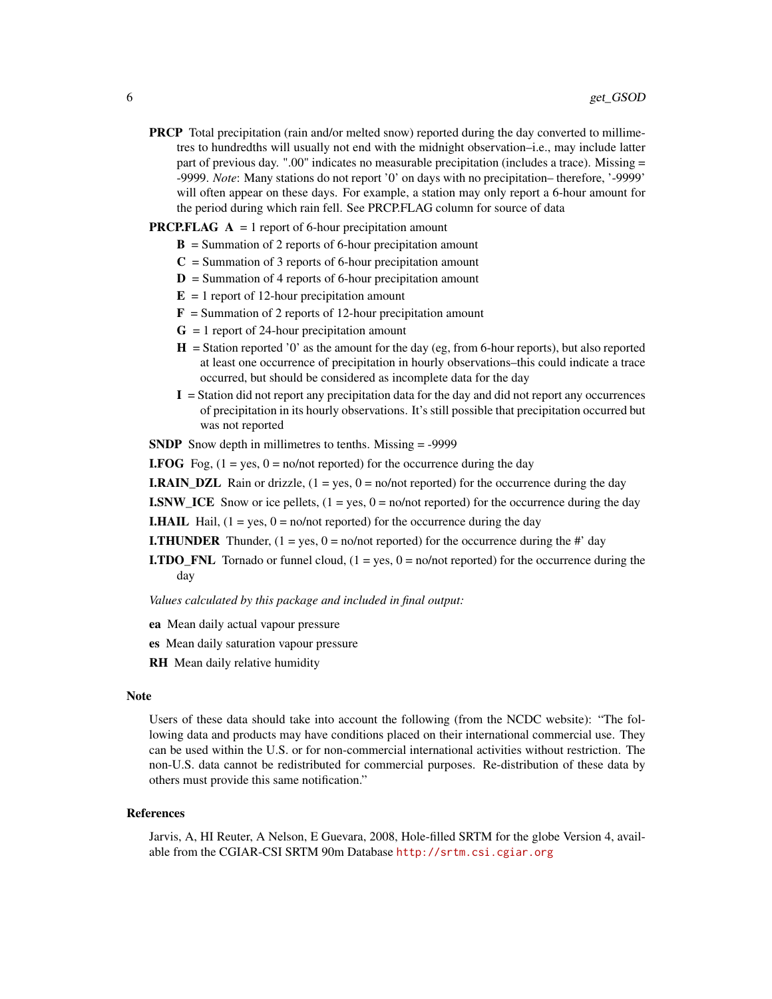PRCP Total precipitation (rain and/or melted snow) reported during the day converted to millimetres to hundredths will usually not end with the midnight observation–i.e., may include latter part of previous day. ".00" indicates no measurable precipitation (includes a trace). Missing = -9999. *Note*: Many stations do not report '0' on days with no precipitation– therefore, '-9999' will often appear on these days. For example, a station may only report a 6-hour amount for the period during which rain fell. See PRCP.FLAG column for source of data

#### **PRCP.FLAG**  $A = 1$  report of 6-hour precipitation amount

- $\bf{B}$  = Summation of 2 reports of 6-hour precipitation amount
- $C =$  Summation of 3 reports of 6-hour precipitation amount
- $D =$  Summation of 4 reports of 6-hour precipitation amount
- $E = 1$  report of 12-hour precipitation amount
- **= Summation of 2 reports of 12-hour precipitation amount**
- $G = 1$  report of 24-hour precipitation amount
- $H =$  Station reported '0' as the amount for the day (eg, from 6-hour reports), but also reported at least one occurrence of precipitation in hourly observations–this could indicate a trace occurred, but should be considered as incomplete data for the day
- $I =$  Station did not report any precipitation data for the day and did not report any occurrences of precipitation in its hourly observations. It's still possible that precipitation occurred but was not reported

SNDP Snow depth in millimetres to tenths. Missing = -9999

**I.FOG** Fog,  $(1 = yes, 0 = no/not reported)$  for the occurrence during the day

**I.RAIN\_DZL** Rain or drizzle,  $(1 = yes, 0 = no/not reported)$  for the occurrence during the day

**I.SNW\_ICE** Snow or ice pellets,  $(1 = yes, 0 = no/not reported)$  for the occurrence during the day

**I.HAIL** Hail,  $(1 = yes, 0 = no/not reported)$  for the occurrence during the day

- **I.THUNDER** Thunder,  $(1 = yes, 0 = no/not reported)$  for the occurrence during the #' day
- **I.TDO\_FNL** Tornado or funnel cloud,  $(1 = yes, 0 = no/not reported)$  for the occurrence during the day

*Values calculated by this package and included in final output:*

- ea Mean daily actual vapour pressure
- es Mean daily saturation vapour pressure
- **RH** Mean daily relative humidity

#### **Note**

Users of these data should take into account the following (from the NCDC website): "The following data and products may have conditions placed on their international commercial use. They can be used within the U.S. or for non-commercial international activities without restriction. The non-U.S. data cannot be redistributed for commercial purposes. Re-distribution of these data by others must provide this same notification."

#### References

Jarvis, A, HI Reuter, A Nelson, E Guevara, 2008, Hole-filled SRTM for the globe Version 4, available from the CGIAR-CSI SRTM 90m Database <http://srtm.csi.cgiar.org>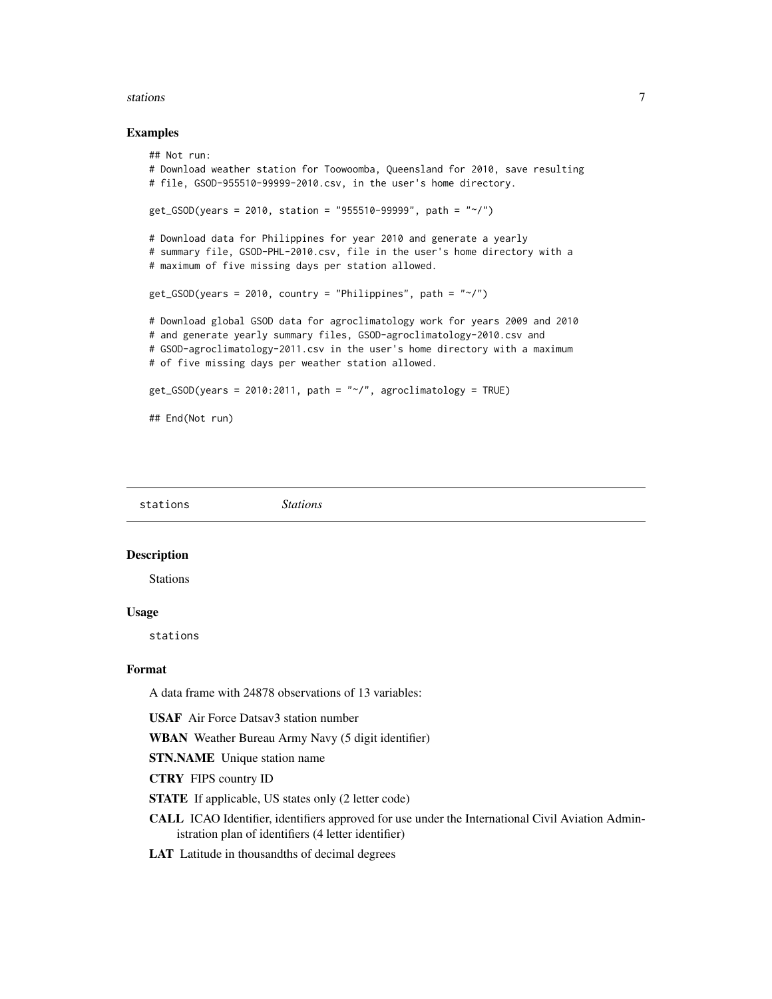#### <span id="page-6-0"></span>stations **7**

#### Examples

```
## Not run:
# Download weather station for Toowoomba, Queensland for 2010, save resulting
# file, GSOD-955510-99999-2010.csv, in the user's home directory.
get_GSOD(years = 2010, station = "955510-99999", path = "~/")# Download data for Philippines for year 2010 and generate a yearly
# summary file, GSOD-PHL-2010.csv, file in the user's home directory with a
# maximum of five missing days per station allowed.
get_GSOD(years = 2010, country = "Philippines", path = "~/")# Download global GSOD data for agroclimatology work for years 2009 and 2010
# and generate yearly summary files, GSOD-agroclimatology-2010.csv and
# GSOD-agroclimatology-2011.csv in the user's home directory with a maximum
# of five missing days per weather station allowed.
get_GSOD(years = 2010:2011, path = "~/", agroclimatology = TRUE)
## End(Not run)
```
stations *Stations*

#### **Description**

Stations

#### Usage

stations

#### Format

A data frame with 24878 observations of 13 variables:

USAF Air Force Datsav3 station number

WBAN Weather Bureau Army Navy (5 digit identifier)

STN.NAME Unique station name

CTRY FIPS country ID

STATE If applicable, US states only (2 letter code)

CALL ICAO Identifier, identifiers approved for use under the International Civil Aviation Administration plan of identifiers (4 letter identifier)

LAT Latitude in thousandths of decimal degrees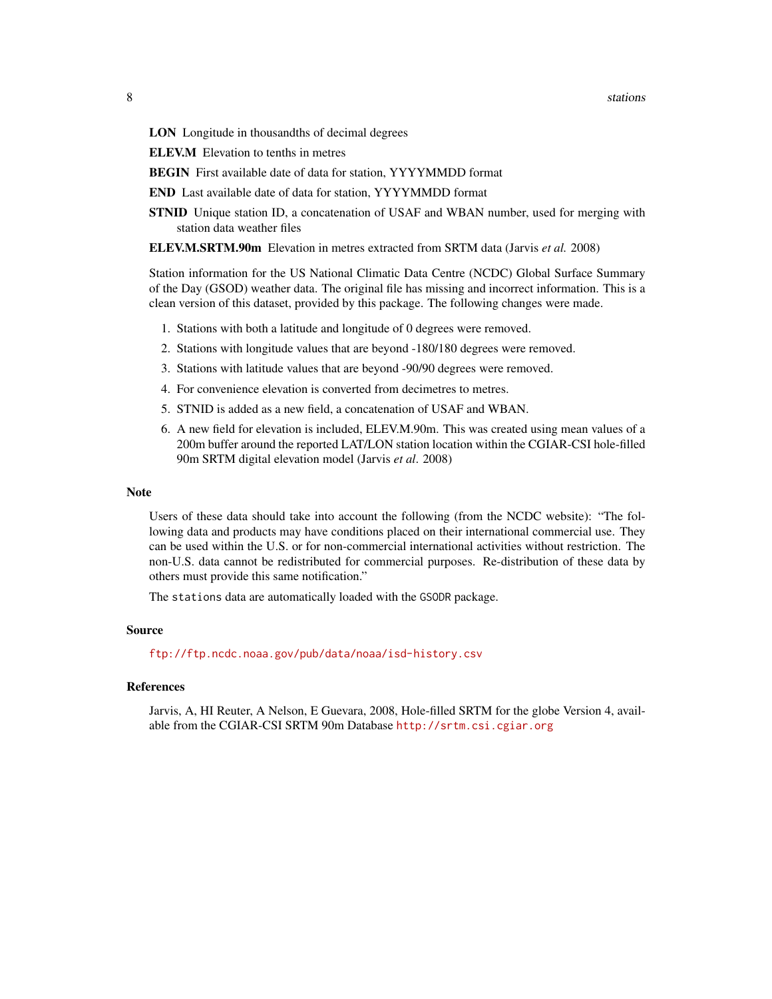LON Longitude in thousandths of decimal degrees

ELEV.M Elevation to tenths in metres

BEGIN First available date of data for station, YYYYMMDD format

END Last available date of data for station, YYYYMMDD format

STNID Unique station ID, a concatenation of USAF and WBAN number, used for merging with station data weather files

ELEV.M.SRTM.90m Elevation in metres extracted from SRTM data (Jarvis *et al.* 2008)

Station information for the US National Climatic Data Centre (NCDC) Global Surface Summary of the Day (GSOD) weather data. The original file has missing and incorrect information. This is a clean version of this dataset, provided by this package. The following changes were made.

- 1. Stations with both a latitude and longitude of 0 degrees were removed.
- 2. Stations with longitude values that are beyond -180/180 degrees were removed.
- 3. Stations with latitude values that are beyond -90/90 degrees were removed.
- 4. For convenience elevation is converted from decimetres to metres.
- 5. STNID is added as a new field, a concatenation of USAF and WBAN.
- 6. A new field for elevation is included, ELEV.M.90m. This was created using mean values of a 200m buffer around the reported LAT/LON station location within the CGIAR-CSI hole-filled 90m SRTM digital elevation model (Jarvis *et al*. 2008)

#### Note

Users of these data should take into account the following (from the NCDC website): "The following data and products may have conditions placed on their international commercial use. They can be used within the U.S. or for non-commercial international activities without restriction. The non-U.S. data cannot be redistributed for commercial purposes. Re-distribution of these data by others must provide this same notification."

The stations data are automatically loaded with the GSODR package.

#### Source

<ftp://ftp.ncdc.noaa.gov/pub/data/noaa/isd-history.csv>

#### References

Jarvis, A, HI Reuter, A Nelson, E Guevara, 2008, Hole-filled SRTM for the globe Version 4, available from the CGIAR-CSI SRTM 90m Database <http://srtm.csi.cgiar.org>